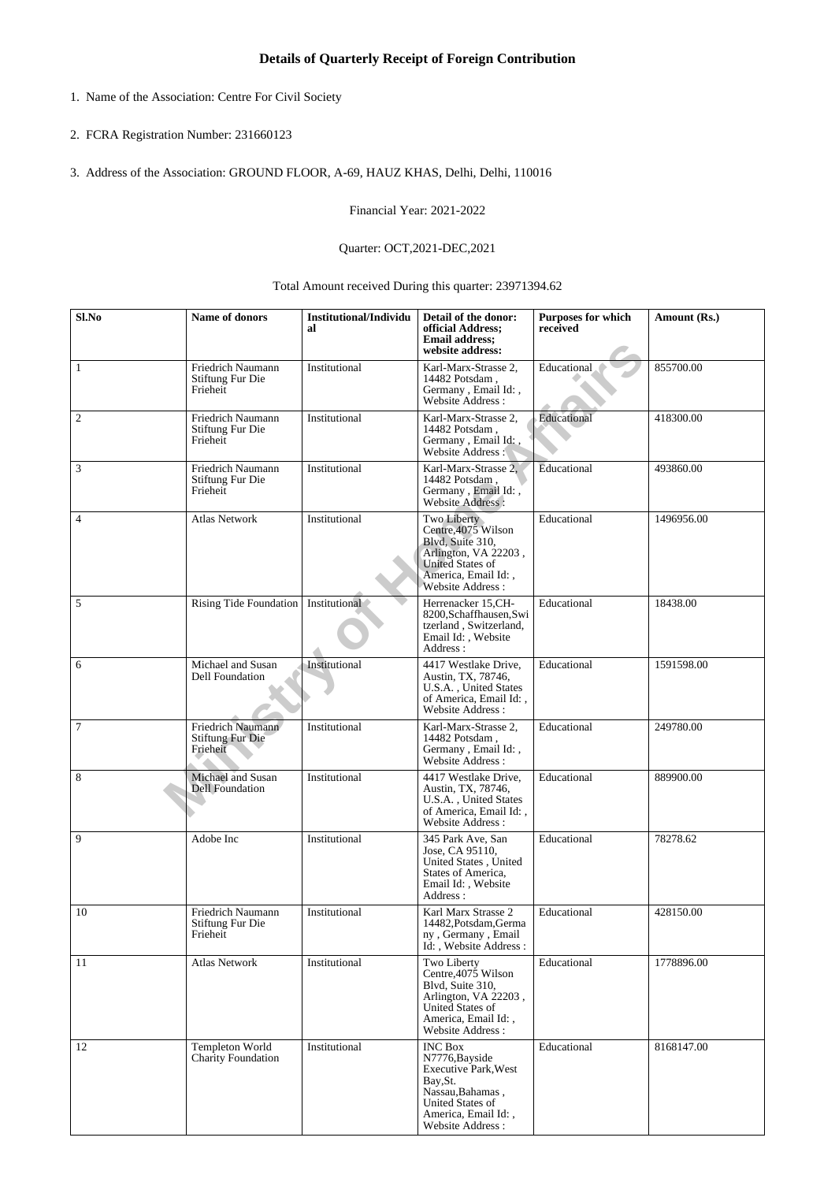- 1. Name of the Association: Centre For Civil Society
- 2. FCRA Registration Number: 231660123
- 3. Address of the Association: GROUND FLOOR, A-69, HAUZ KHAS, Delhi, Delhi, 110016

Financial Year: 2021-2022

## Quarter: OCT,2021-DEC,2021

Total Amount received During this quarter: 23971394.62

| Sl.No   | Name of donors                                    | <b>Institutional/Individu</b><br>al | Detail of the donor:<br>official Address;<br><b>Email address:</b><br>website address:                                                                         | Purposes for which<br>received | Amount (Rs.) |
|---------|---------------------------------------------------|-------------------------------------|----------------------------------------------------------------------------------------------------------------------------------------------------------------|--------------------------------|--------------|
| 1       | Friedrich Naumann<br>Stiftung Fur Die<br>Frieheit | Institutional                       | Karl-Marx-Strasse 2,<br>14482 Potsdam,<br>Germany, Email Id:,<br>Website Address:                                                                              | Educational                    | 855700.00    |
| 2       | Friedrich Naumann<br>Stiftung Fur Die<br>Frieheit | Institutional                       | Karl-Marx-Strasse 2,<br>14482 Potsdam,<br>Germany, Email Id:,<br>Website Address:                                                                              | Educational                    | 418300.00    |
| 3       | Friedrich Naumann<br>Stiftung Fur Die<br>Frieheit | Institutional                       | Karl-Marx-Strasse 2,<br>14482 Potsdam.<br>Germany, Email Id:,<br>Website Address:                                                                              | Educational                    | 493860.00    |
| 4       | <b>Atlas Network</b>                              | Institutional                       | Two Liberty<br>Centre, 4075 Wilson<br>Blvd, Suite 310,<br>Arlington, VA 22203,<br><b>United States of</b><br>America, Email Id:,<br>Website Address:           | Educational                    | 1496956.00   |
| 5       | Rising Tide Foundation   Institutional            |                                     | Herrenacker 15,CH-<br>8200, Schaffhausen, Swi<br>tzerland, Switzerland,<br>Email Id:, Website<br>Address:                                                      | Educational                    | 18438.00     |
| 6       | Michael and Susan<br>Dell Foundation              | Institutional                       | 4417 Westlake Drive.<br>Austin, TX, 78746,<br>U.S.A., United States<br>of America, Email Id:,<br>Website Address:                                              | Educational                    | 1591598.00   |
| $\tau$  | Friedrich Naumann<br>Stiftung Fur Die<br>Frieheit | Institutional                       | Karl-Marx-Strasse 2,<br>14482 Potsdam,<br>Germany, Email Id:,<br>Website Address:                                                                              | Educational                    | 249780.00    |
| $\,8\,$ | Michael and Susan<br><b>Dell Foundation</b>       | Institutional                       | 4417 Westlake Drive,<br>Austin, TX, 78746,<br>U.S.A., United States<br>of America, Email Id:,<br>Website Address:                                              | Educational                    | 889900.00    |
| 9       | Adobe Inc                                         | Institutional                       | 345 Park Ave, San<br>Jose, CA 95110,<br>United States, United<br>States of America,<br>Email Id:, Website<br>Address:                                          | Educational                    | 78278.62     |
| 10      | Friedrich Naumann<br>Stiftung Fur Die<br>Frieheit | Institutional                       | Karl Marx Strasse 2<br>14482, Potsdam, Germa<br>ny, Germany, Email<br>Id:, Website Address:                                                                    | Educational                    | 428150.00    |
| 11      | <b>Atlas Network</b>                              | Institutional                       | Two Liberty<br>Centre, 4075 Wilson<br>Blvd. Suite 310.<br>Arlington, VA 22203,<br>United States of<br>America, Email Id:,<br>Website Address:                  | Educational                    | 1778896.00   |
| 12      | Templeton World<br><b>Charity Foundation</b>      | Institutional                       | <b>INC Box</b><br>N7776, Bayside<br><b>Executive Park, West</b><br>Bay, St.<br>Nassau, Bahamas,<br>United States of<br>America, Email Id:,<br>Website Address: | Educational                    | 8168147.00   |